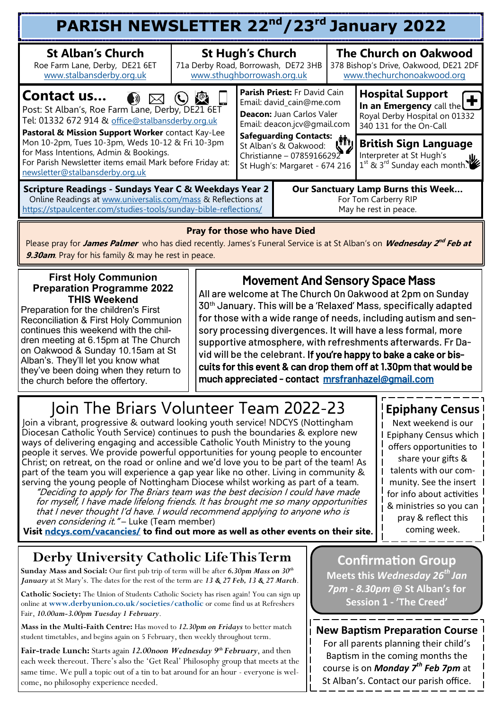| PARISH NEWSLETTER 22 <sup>nd</sup> /23 <sup>rd</sup> January 2022                                                                                                                         |                                                                                                               |                                                                                     |                                                                                                                      |                                                                                                                  |                                                                                                                   |  |  |  |  |
|-------------------------------------------------------------------------------------------------------------------------------------------------------------------------------------------|---------------------------------------------------------------------------------------------------------------|-------------------------------------------------------------------------------------|----------------------------------------------------------------------------------------------------------------------|------------------------------------------------------------------------------------------------------------------|-------------------------------------------------------------------------------------------------------------------|--|--|--|--|
| <b>St Alban's Church</b><br>Roe Farm Lane, Derby, DE21 6ET<br>www.stalbansderby.org.uk                                                                                                    | <b>St Hugh's Church</b><br>71a Derby Road, Borrowash, DE72 3HB<br>www.sthughborrowash.org.uk                  |                                                                                     |                                                                                                                      | <b>The Church on Oakwood</b><br>378 Bishop's Drive, Oakwood, DE21 2DF<br>www.thechurchonoakwood.org              |                                                                                                                   |  |  |  |  |
| Contact us<br>$\mathbb{R}$<br>Post: St Alban's, Roe Farm Lane, Derby, DE21 6ET<br>Tel: 01332 672 914 & office@stalbansderby.org.uk<br>Pastoral & Mission Support Worker contact Kay-Lee   |                                                                                                               |                                                                                     | Parish Priest: Fr David Cain<br>Email: david_cain@me.com<br>Deacon: Juan Carlos Valer<br>Email: deacon.jcv@gmail.com |                                                                                                                  | <b>Hospital Support</b><br>In an Emergency call the T<br>Royal Derby Hospital on 01332<br>340 131 for the On-Call |  |  |  |  |
| Mon 10-2pm, Tues 10-3pm, Weds 10-12 & Fri 10-3pm<br>for Mass Intentions, Admin & Bookings.<br>For Parish Newsletter items email Mark before Friday at:<br>newsletter@stalbansderby.org.uk | Safeguarding Contacts:<br>St Alban's & Oakwood:<br>Christianne - 07859166292<br>St Hugh's: Margaret - 674 216 |                                                                                     |                                                                                                                      | <b>British Sign Language</b><br>Interpreter at St Hugh's<br>1 <sup>st</sup> & 3 <sup>rd</sup> Sunday each month. |                                                                                                                   |  |  |  |  |
| Scripture Readings - Sundays Year C & Weekdays Year 2<br>Online Readings at www.universalis.com/mass & Reflections at<br>https://stpaulcenter.com/studies-tools/sunday-bible-reflections/ |                                                                                                               | Our Sanctuary Lamp Burns this Week<br>For Tom Carberry RIP<br>May he rest in peace. |                                                                                                                      |                                                                                                                  |                                                                                                                   |  |  |  |  |

#### **Pray for those who have Died**

Please pray for *James Palmer* who has died recently. James's Funeral Service is at St Alban's on *Wednesday 2<sup>nd</sup> Feb at* **9.30am**. Pray for his family & may he rest in peace.

#### **First Holy Communion Preparation Programme 2022 THIS Weekend**

Preparation for the children's First Reconciliation & First Holy Communion continues this weekend with the children meeting at 6.15pm at The Church on Oakwood & Sunday 10.15am at St Alban's. They'll let you know what they've been doing when they return to the church before the offertory.

### Movement And Sensory Space Mass

All are welcome at The Church On Oakwood at 2pm on Sunday 30th January. This will be a 'Relaxed' Mass, specifically adapted for those with a wide range of needs, including autism and sensory processing divergences. It will have a less formal, more supportive atmosphere, with refreshments afterwards. Fr David will be the celebrant. If you're happy to bake a cake or biscuits for this event & can drop them off at 1.30pm that would be much appreciated - contact [mrsfranhazel@gmail.com](mailto:mrsfranhazel@gmail.com)

# Join The Briars Volunteer Team 2022-23

Join a vibrant, progressive & outward looking youth service! NDCYS (Nottingham Diocesan Catholic Youth Service) continues to push the boundaries & explore new ways of delivering engaging and accessible Catholic Youth Ministry to the young people it serves. We provide powerful opportunities for young people to encounter Christ; on retreat, on the road or online and we'd love you to be part of the team! As part of the team you will experience a gap year like no other. Living in community & serving the young people of Nottingham Diocese whilst working as part of a team.

"Deciding to apply for The Briars team was the best decision I could have made for myself, I have made lifelong friends. It has brought me so many opportunities that I never thought I'd have. I would recommend applying to anyone who is even considering it. "- Luke (Team member)

**Visit [ndcys.com/vacancies/](mailto:ndcys.com/vacancies/) to find out more as well as other events on their site.**

## **Derby University Catholic Life This Term**

**Sunday Mass and Social:** Our first pub trip of term will be after *6.30pm Mass on 30th January* at St Mary's. The dates for the rest of the term are *13 & 27 Feb, 13 & 27 March*.

**Catholic Society:** The Union of Students Catholic Society has risen again! You can sign up online at **[www.derbyunion.co.uk/societies/catholic](http://www.derbyunion.co.uk/societies/catholic)** or come find us at Refreshers Fair, *10.00am-3.00pm Tuesday 1 February*.

**Mass in the Multi-Faith Centre:** Has moved to *12.30pm on Fridays* to better match student timetables, and begins again on 5 February, then weekly throughout term.

**Fair-trade Lunch:** Starts again *12.00noon Wednesday 9th February*, and then each week thereout. There's also the 'Get Real' Philosophy group that meets at the same time. We pull a topic out of a tin to bat around for an hour - everyone is welcome, no philosophy experience needed.

**Confirmation Group Meets this** *Wednesday 26th Jan 7pm - 8.30pm* **@ St Alban's for Session 1 - 'The Creed'** 

**New Baptism Preparation Course** For all parents planning their child's Baptism in the coming months the course is on *Monday 7th Feb 7pm* at St Alban's. Contact our parish office.

### **Epiphany Census**

Next weekend is our Epiphany Census which offers opportunities to share your gifts & talents with our community. See the insert for info about activities & ministries so you can pray & reflect this coming week.